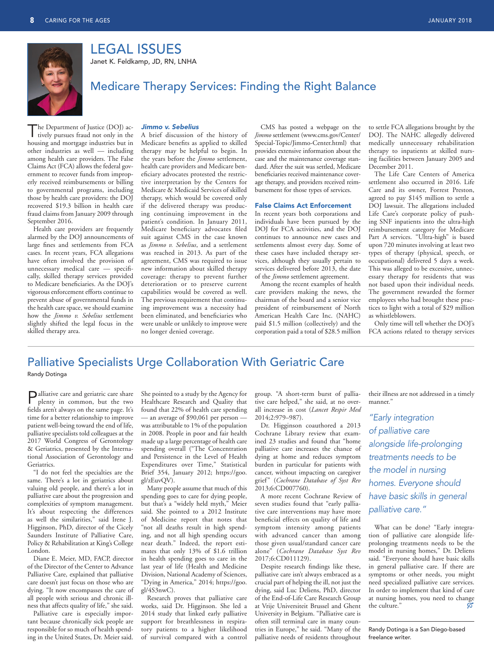

LEGAL ISSUES

Janet K. Feldkamp, JD, RN, LNHA

## Medicare Therapy Services: Finding the Right Balance

The Department of Justice (DOJ) actively pursues fraud not only in the housing and mortgage industries but in other industries as well — including among health care providers. The False Claims Act (FCA) allows the federal government to recover funds from improperly received reimbursements or billing to governmental programs, including those by health care providers: the DOJ recovered \$19.3 billion in health care fraud claims from January 2009 through September 2016.

 Health care providers are frequently alarmed by the DOJ announcements of large fines and settlements from FCA cases. In recent years, FCA allegations have often involved the provision of unnecessary medical care — specifically, skilled therapy services provided to Medicare beneficiaries. As the DOJ's vigorous enforcement efforts continue to prevent abuse of governmental funds in the health care space, we should examine how the *Jimmo v. Sebelius* settlement slightly shifted the legal focus in the skilled therapy area.

### *Jimmo v. Sebelius*

 A brief discussion of the history of Medicare benefits as applied to skilled therapy may be helpful to begin. In the years before the *Jimmo* settlement, health care providers and Medicare beneficiary advocates protested the restrictive interpretation by the Centers for Medicare & Medicaid Services of skilled therapy, which would be covered only if the delivered therapy was producing continuing improvement in the patient's condition. In January 2011, Medicare beneficiary advocates filed suit against CMS in the case known as *Jimmo v. Sebelius*, and a settlement was reached in 2013. As part of the agreement, CMS was required to issue new information about skilled therapy coverage: therapy to prevent further deterioration or to preserve current capabilities would be covered as well. The previous requirement that continuing improvement was a necessity had been eliminated, and beneficiaries who were unable or unlikely to improve were no longer denied coverage.

CMS has posted a webpage on the *Jimmo* settlement (www.cms.gov/Center/ Special-Topic/Jimmo-Center.html) that provides extensive information about the case and the maintenance coverage standard. After the suit was settled, Medicare beneficiaries received maintenance coverage therapy, and providers received reimbursement for those types of services.

### False Claims Act Enforcement

 In recent years both corporations and individuals have been pursued by the DOJ for FCA activities, and the DOJ continues to announce new cases and settlements almost every day. Some of these cases have included therapy services, although they usually pertain to services delivered before 2013, the date of the *Jimmo* settlement agreement.

 Among the recent examples of health care providers making the news, the chairman of the board and a senior vice president of reimbursement of North American Health Care Inc. (NAHC) paid \$1.5 million (collectively) and the corporation paid a total of \$28.5 million

to settle FCA allegations brought by the DOJ. The NAHC allegedly delivered medically unnecessary rehabilitation therapy to inpatients at skilled nursing facilities between January 2005 and December 2011.

The Life Care Centers of America settlement also occurred in 2016. Life Care and its owner, Forrest Preston, agreed to pay \$145 million to settle a DOJ lawsuit. The allegations included Life Care's corporate policy of pushing SNF inpatients into the ultra-high reimbursement category for Medicare Part A services. "Ultra-high" is based upon 720 minutes involving at least two types of therapy (physical, speech, or occupational) delivered 5 days a week. This was alleged to be excessive, unnecessary therapy for residents that was not based upon their individual needs. The government rewarded the former employees who had brought these practices to light with a total of \$29 million as whistleblowers.

Only time will tell whether the DOJ's FCA actions related to therapy services

# Palliative Specialists Urge Collaboration With Geriatric Care

Randy Dotinga

Palliative care and geriatric care share plenty in common, but the two fields aren't always on the same page. It's time for a better relationship to improve patient well-being toward the end of life, palliative specialists told colleagues at the 2017 World Congress of Gerontology & Geriatrics, presented by the International Association of Gerontology and Geriatrics.

 "I do not feel the specialties are the same. There's a lot in geriatrics about valuing old people, and there's a lot in palliative care about the progression and complexities of symptom management. It's about respecting the differences as well the similarities," said Irene J. Higginson, PhD, director of the Cicely Saunders Institute of Palliative Care, Policy & Rehabilitation at King's College London.

 Diane E. Meier, MD, FACP, director of the Director of the Center to Advance Palliative Care, explained that palliative care doesn't just focus on those who are dying. "It now encompasses the care of all people with serious and chronic illness that affects quality of life," she said.

 Palliative care is especially important because chronically sick people are responsible for so much of health spending in the United States, Dr. Meier said. She pointed to a study by the Agency for Healthcare Research and Quality that found that 22% of health care spending - an average of \$90,061 per person was attributable to 1% of the population in 2008. People in poor and fair health made up a large percentage of health care spending overall ("The Concentration and Persistence in the Level of Health Expenditures over Time," Statistical Brief 354, January 2012; [https://goo.](https://goo.gl/zEuvQV) [gl/zEuvQV](https://goo.gl/zEuvQV)).

 Many people assume that much of this spending goes to care for dying people, but that's a "widely held myth," Meier said. She pointed to a 2012 Institute of Medicine report that notes that "not all deaths result in high spending, and not all high spending occurs near death." Indeed, the report estimates that only 13% of \$1.6 trillion in health spending goes to care in the last year of life (Health and Medicine Division, National Academy of Sciences, "Dying in America," 2014; [https://goo.](https://goo.gl/4S3nwC) [gl/4S3nwC](https://goo.gl/4S3nwC)).

 Research proves that palliative care works, said Dr. Higginson. She led a 2014 study that linked early palliative support for breathlessness in respiratory patients to a higher likelihood of survival compared with a control

group. "A short-term burst of palliative care helped," she said, at no overall increase in cost (*Lancet Respir Med* 2014;2:979–987).

 Dr. Higginson coauthored a 2013 Cochrane Library review that examined 23 studies and found that "home palliative care increases the chance of dying at home and reduces symptom burden in particular for patients with cancer, without impacting on caregiver grief" (*Cochrane Database of Syst Rev* 2013;6:CD007760).

 A more recent Cochrane Review of seven studies found that "early palliative care interventions may have more beneficial effects on quality of life and symptom intensity among patients with advanced cancer than among those given usual/standard cancer care alone" (*Cochrane Database Syst Rev* 2017;6:CD011129).

Despite research findings like these, palliative care isn't always embraced as a crucial part of helping the ill, not just the dying, said Luc Deliens, PhD, director of the End-of-Life Care Research Group at Vrije Universiteit Brussel and Ghent University in Belgium. "Palliative care is often still terminal care in many countries in Europe," he said. "Many of the palliative needs of residents throughout their illness are not addressed in a timely manner."

*"Early integration of palliative care alongside life-prolonging treatments needs to be the model in nursing homes. Everyone should have basic skills in general palliative care."*

 What can be done? "Early integration of palliative care alongside lifeprolonging treatments needs to be the model in nursing homes," Dr. Deliens said. "Everyone should have basic skills in general palliative care. If there are symptoms or other needs, you might need specialized palliative care services. In order to implement that kind of care at nursing homes, you need to change the culture."

 Randy Dotinga is a San Diego-based freelance writer.